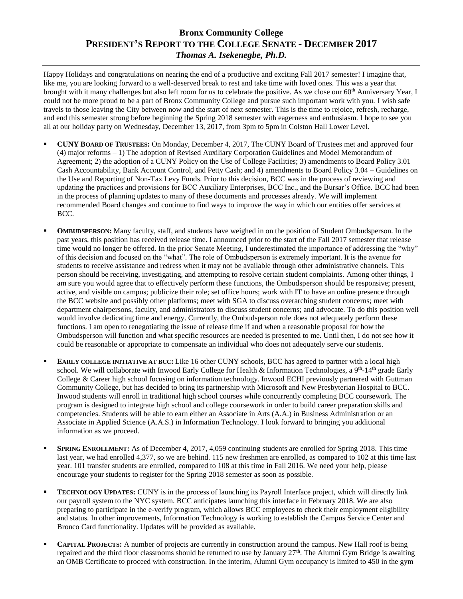## **Bronx Community College PRESIDENT'S REPORT TO THE COLLEGE SENATE - DECEMBER 2017** *Thomas A. Isekenegbe, Ph.D.*

Happy Holidays and congratulations on nearing the end of a productive and exciting Fall 2017 semester! I imagine that, like me, you are looking forward to a well-deserved break to rest and take time with loved ones. This was a year that brought with it many challenges but also left room for us to celebrate the positive. As we close our 60<sup>th</sup> Anniversary Year, I could not be more proud to be a part of Bronx Community College and pursue such important work with you. I wish safe travels to those leaving the City between now and the start of next semester. This is the time to rejoice, refresh, recharge, and end this semester strong before beginning the Spring 2018 semester with eagerness and enthusiasm. I hope to see you all at our holiday party on Wednesday, December 13, 2017, from 3pm to 5pm in Colston Hall Lower Level.

- **CUNY BOARD OF TRUSTEES:** On Monday, December 4, 2017, The CUNY Board of Trustees met and approved four (4) major reforms – 1) The adoption of Revised Auxiliary Corporation Guidelines and Model Memorandum of Agreement; 2) the adoption of a CUNY Policy on the Use of College Facilities; 3) amendments to Board Policy 3.01 – Cash Accountability, Bank Account Control, and Petty Cash; and 4) amendments to Board Policy 3.04 – Guidelines on the Use and Reporting of Non-Tax Levy Funds. Prior to this decision, BCC was in the process of reviewing and updating the practices and provisions for BCC Auxiliary Enterprises, BCC Inc., and the Bursar's Office. BCC had been in the process of planning updates to many of these documents and processes already. We will implement recommended Board changes and continue to find ways to improve the way in which our entities offer services at BCC.
- **OMBUDSPERSON:** Many faculty, staff, and students have weighed in on the position of Student Ombudsperson. In the past years, this position has received release time. I announced prior to the start of the Fall 2017 semester that release time would no longer be offered. In the prior Senate Meeting, I underestimated the importance of addressing the "why" of this decision and focused on the "what". The role of Ombudsperson is extremely important. It is the avenue for students to receive assistance and redress when it may not be available through other administrative channels. This person should be receiving, investigating, and attempting to resolve certain student complaints. Among other things, I am sure you would agree that to effectively perform these functions, the Ombudsperson should be responsive; present, active, and visible on campus; publicize their role; set office hours; work with IT to have an online presence through the BCC website and possibly other platforms; meet with SGA to discuss overarching student concerns; meet with department chairpersons, faculty, and administrators to discuss student concerns; and advocate. To do this position well would involve dedicating time and energy. Currently, the Ombudsperson role does not adequately perform these functions. I am open to renegotiating the issue of release time if and when a reasonable proposal for how the Ombudsperson will function and what specific resources are needed is presented to me. Until then, I do not see how it could be reasonable or appropriate to compensate an individual who does not adequately serve our students.
- **EARLY COLLEGE INITIATIVE AT BCC:** Like 16 other CUNY schools, BCC has agreed to partner with a local high school. We will collaborate with Inwood Early College for Health & Information Technologies, a 9<sup>th</sup>-14<sup>th</sup> grade Early College & Career high school focusing on information technology. Inwood ECHI previously partnered with Guttman Community College, but has decided to bring its partnership with Microsoft and New Presbyterian Hospital to BCC. Inwood students will enroll in traditional high school courses while concurrently completing BCC coursework. The program is designed to integrate high school and college coursework in order to build career preparation skills and competencies. Students will be able to earn either an Associate in Arts (A.A.) in Business Administration or an Associate in Applied Science (A.A.S.) in Information Technology. I look forward to bringing you additional information as we proceed.
- **SPRING ENROLLMENT:** As of December 4, 2017, 4,059 continuing students are enrolled for Spring 2018. This time last year, we had enrolled 4,377, so we are behind. 115 new freshmen are enrolled, as compared to 102 at this time last year. 101 transfer students are enrolled, compared to 108 at this time in Fall 2016. We need your help, please encourage your students to register for the Spring 2018 semester as soon as possible.
- **TECHNOLOGY UPDATES:** CUNY is in the process of launching its Payroll Interface project, which will directly link our payroll system to the NYC system. BCC anticipates launching this interface in February 2018. We are also preparing to participate in the e-verify program, which allows BCC employees to check their employment eligibility and status. In other improvements, Information Technology is working to establish the Campus Service Center and Bronco Card functionality. Updates will be provided as available.
- **CAPITAL PROJECTS:** A number of projects are currently in construction around the campus. New Hall roof is being repaired and the third floor classrooms should be returned to use by January  $27<sup>th</sup>$ . The Alumni Gym Bridge is awaiting an OMB Certificate to proceed with construction. In the interim, Alumni Gym occupancy is limited to 450 in the gym